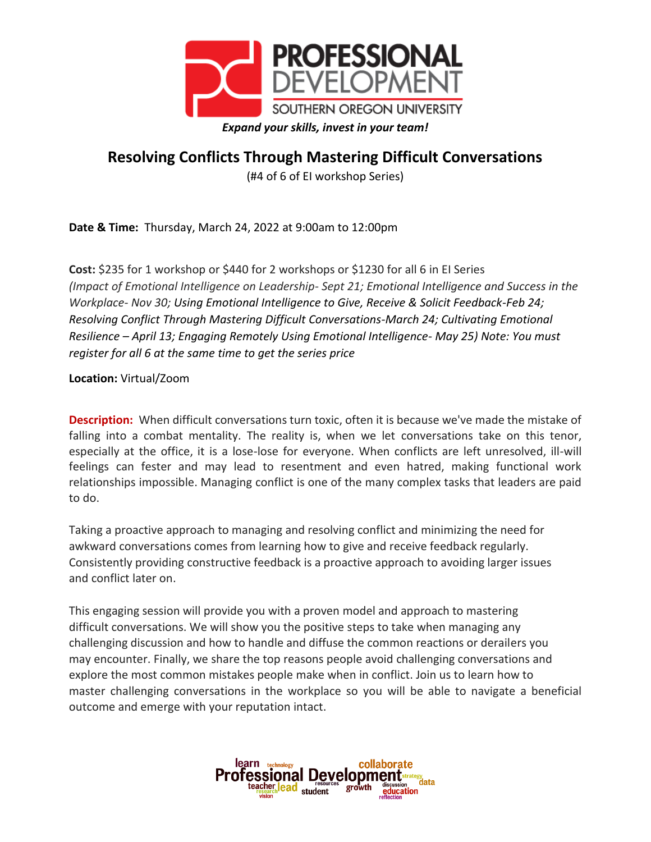

## **Resolving Conflicts Through Mastering Difficult Conversations**

(#4 of 6 of EI workshop Series)

**Date & Time:** Thursday, March 24, 2022 at 9:00am to 12:00pm

**Cost:** \$235 for 1 workshop or \$440 for 2 workshops or \$1230 for all 6 in EI Series *(Impact of Emotional Intelligence on Leadership- Sept 21; Emotional Intelligence and Success in the Workplace- Nov 30; Using Emotional Intelligence to Give, Receive & Solicit Feedback-Feb 24; Resolving Conflict Through Mastering Difficult Conversations-March 24; Cultivating Emotional Resilience – April 13; Engaging Remotely Using Emotional Intelligence- May 25) Note: You must register for all 6 at the same time to get the series price*

**Location:** Virtual/Zoom

**Description:** When difficult conversations turn toxic, often it is because we've made the mistake of falling into a combat mentality. The reality is, when we let conversations take on this tenor, especially at the office, it is a lose-lose for everyone. When conflicts are left unresolved, ill-will feelings can fester and may lead to resentment and even hatred, making functional work relationships impossible. Managing conflict is one of the many complex tasks that leaders are paid to do.

Taking a proactive approach to managing and resolving conflict and minimizing the need for awkward conversations comes from learning how to give and receive feedback regularly. Consistently providing constructive feedback is a proactive approach to avoiding larger issues and conflict later on.

This engaging session will provide you with a proven model and approach to mastering difficult conversations. We will show you the positive steps to take when managing any challenging discussion and how to handle and diffuse the common reactions or derailers you may encounter. Finally, we share the top reasons people avoid challenging conversations and explore the most common mistakes people make when in conflict. Join us to learn how to master challenging conversations in the workplace so you will be able to navigate a beneficial outcome and emerge with your reputation intact.